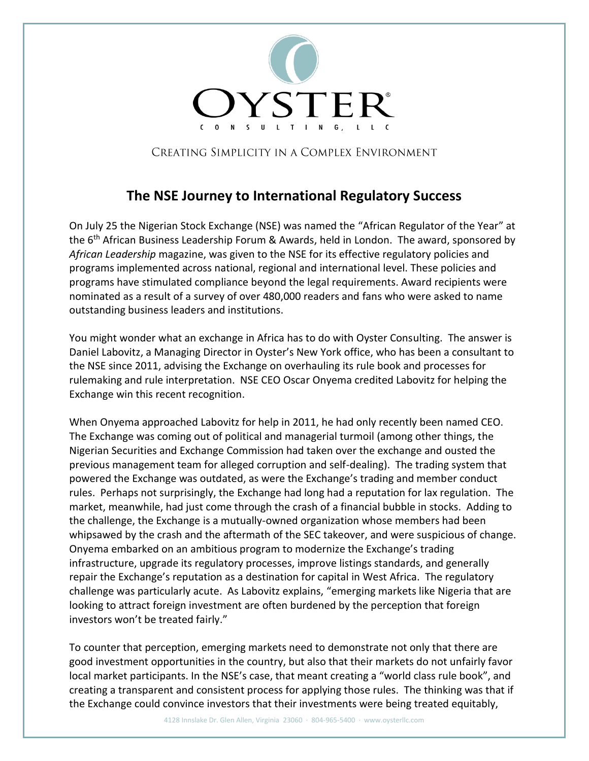

CREATING SIMPLICITY IN A COMPLEX ENVIRONMENT

## **The NSE Journey to International Regulatory Success**

On July 25 the Nigerian Stock Exchange (NSE) was named the "African Regulator of the Year" at the 6<sup>th</sup> African Business Leadership Forum & Awards, held in London. The award, sponsored by *African Leadership* magazine, was given to the NSE for its effective regulatory policies and programs implemented across national, regional and international level. These policies and programs have stimulated compliance beyond the legal requirements. Award recipients were nominated as a result of a survey of over 480,000 readers and fans who were asked to name outstanding business leaders and institutions.

You might wonder what an exchange in Africa has to do with Oyster Consulting. The answer is Daniel Labovitz, a Managing Director in Oyster's New York office, who has been a consultant to the NSE since 2011, advising the Exchange on overhauling its rule book and processes for rulemaking and rule interpretation. NSE CEO Oscar Onyema credited Labovitz for helping the Exchange win this recent recognition.

When Onyema approached Labovitz for help in 2011, he had only recently been named CEO. The Exchange was coming out of political and managerial turmoil (among other things, the Nigerian Securities and Exchange Commission had taken over the exchange and ousted the previous management team for alleged corruption and self-dealing). The trading system that powered the Exchange was outdated, as were the Exchange's trading and member conduct rules. Perhaps not surprisingly, the Exchange had long had a reputation for lax regulation. The market, meanwhile, had just come through the crash of a financial bubble in stocks. Adding to the challenge, the Exchange is a mutually-owned organization whose members had been whipsawed by the crash and the aftermath of the SEC takeover, and were suspicious of change. Onyema embarked on an ambitious program to modernize the Exchange's trading infrastructure, upgrade its regulatory processes, improve listings standards, and generally repair the Exchange's reputation as a destination for capital in West Africa. The regulatory challenge was particularly acute. As Labovitz explains, "emerging markets like Nigeria that are looking to attract foreign investment are often burdened by the perception that foreign investors won't be treated fairly."

To counter that perception, emerging markets need to demonstrate not only that there are good investment opportunities in the country, but also that their markets do not unfairly favor local market participants. In the NSE's case, that meant creating a "world class rule book", and creating a transparent and consistent process for applying those rules. The thinking was that if the Exchange could convince investors that their investments were being treated equitably,